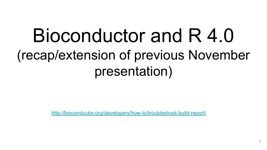# Bioconductor and R 4.0 (recap/extension of previous November presentation)

<http://bioconductor.org/developers/how-to/troubleshoot-build-report/>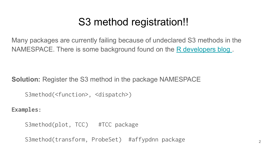## S3 method registration!!

Many packages are currently failing because of undeclared S3 methods in the NAMESPACE. There is some background found on the R developers blog.

**Solution:** Register the S3 method in the package NAMESPACE

S3method(<function>, <dispatch>)

**Examples:**

S3method(plot, TCC) #TCC package

S3method(transform, ProbeSet) #affypdnn package 2011 - 2021 2022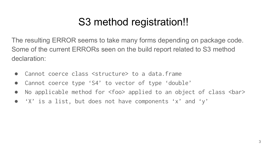# S3 method registration!!

The resulting ERROR seems to take many forms depending on package code. Some of the current ERRORs seen on the build report related to S3 method declaration:

- Cannot coerce class <structure> to a data.frame
- Cannot coerce type 'S4' to vector of type 'double'
- No applicable method for <foo> applied to an object of class <bar>
- 'X' is a list, but does not have components 'x' and 'y'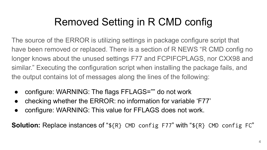# Removed Setting in R CMD config

The source of the ERROR is utilizing settings in package configure script that have been removed or replaced. There is a section of R NEWS "R CMD config no longer knows about the unused settings F77 and FCPIFCPLAGS, nor CXX98 and similar." Executing the configuration script when installing the package fails, and the output contains lot of messages along the lines of the following:

- configure: WARNING: The flags FFLAGS="" do not work
- checking whether the ERROR: no information for variable 'F77'
- configure: WARNING: This value for FFLAGS does not work.

**Solution:** Replace instances of "\${R} CMD config F77" with "\${R} CMD config FC"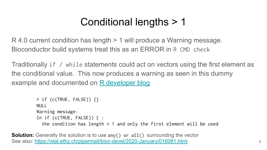# Conditional lengths > 1

R 4.0 current condition has length > 1 will produce a Warning message. Bioconductor build systems treat this as an ERROR in R CMD check

Traditionally if / while statements could act on vectors using the first element as the conditional value. This now produces a warning as seen in this dummy example and documented on [R developer blog](https://developer.r-project.org/Blog/public/2018/10/12/conditions-of-length-greater-than-one/index.html)

```
> if (c(TRUE, FALSE)) {}
NULL<sub>L</sub>
Warning message:
In if (c(TRUE, FALSE)) { :
  the condition has length > 1 and only the first element will be used
```
**Solution:** Generally the solution is to use any() or all() surrounding the vector See also: <https://stat.ethz.ch/pipermail/bioc-devel/2020-January/016081.html> 5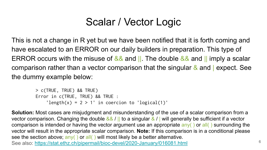# Scalar / Vector Logic

This is not a change in R yet but we have been notified that it is forth coming and have escalated to an ERROR on our daily builders in preparation. This type of ERROR occurs with the misuse of  $\& \&$  and  $\parallel$ . The double  $\& \&$  and  $\parallel$  imply a scalar comparison rather than a vector comparison that the singular  $\&$  and  $\vert$  expect. See the dummy example below:

```
> c(TRUE, TRUE) && TRUE) 
Error in c(TRUE, TRUE) && TRUE :
    'length(x) = 2 > 1' in coercion to 'logical(1)'
```
**Solution:** Most cases are misjudgment and misunderstanding of the use of a scalar comparison from a vector comparison. Changing the double && / || to a singular & / | will generally be sufficient if a vector comparison is intended or having the vector argument use an appropriate any( ) or all( ) surrounding the vector will result in the appropriate scalar comparison. **Note:** If this comparison is in a conditional please see the section above;  $any()$  or all() will most likely be a better alternative. See also: <https://stat.ethz.ch/pipermail/bioc-devel/2020-January/016081.html> <sup>6</sup>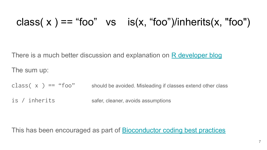### class(  $x$  ) == "foo" vs is( $x$ , "foo")/inherits( $x$ , "foo")

There is a much better discussion and explanation on [R developer blog](https://developer.r-project.org/Blog/public/2019/11/09/when-you-think-class.-think-again/index.html)

The sum up:

class( $x$ ) == "foo" should be avoided. Misleading if classes extend other class

is / inherits safer, cleaner, avoids assumptions

This has been encouraged as part of [Bioconductor coding best practices](https://bioconductor.org/developers/package-guidelines/#rcode)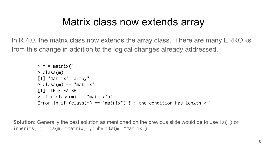### Matrix class now extends array

In R 4.0, the matrix class now extends the array class. There are many ERRORs from this change in addition to the logical changes already addressed.

```
> m = matrix()> class(m)
[1] "matrix" "array" 
> class(m) == "matrix"
[1] TRUE FALSE
> if ( class(m) == "matrix"){}
Error in if (class(m) == "matrix") { : the condition has length > 1
```
**Solution:** Generally the best solution as mentioned on the previous slide would be to use is() or inherits( ): is(m, "matrix) , inherits(m, "matrix")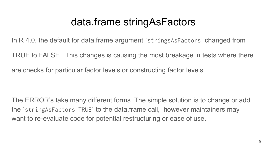### data.frame stringAsFactors

In R 4.0, the default for data.frame argument strings As Factors changed from

TRUE to FALSE. This changes is causing the most breakage in tests where there

are checks for particular factor levels or constructing factor levels.

The ERROR's take many different forms. The simple solution is to change or add the `stringAsFactors=TRUE` to the data.frame call, however maintainers may want to re-evaluate code for potential restructuring or ease of use.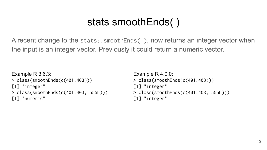# stats smoothEnds( )

A recent change to the stats::smoothEnds( ), now returns an integer vector when the input is an integer vector. Previously it could return a numeric vector.

```
Example R 3.6.3:
> class(smoothEnds(c(401:403)))
[1] "integer"
> class(smoothEnds(c(401:403, 555L)))
[1] "numeric"
```

```
Example R 4.0.0:
> class(smoothEnds(c(401:403)))
[1] "integer"
> class(smoothEnds(c(401:403, 555L)))
[1] "integer"
```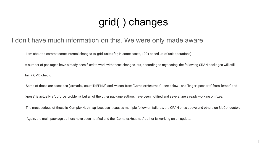# grid( ) changes

#### I don't have much information on this. We were only made aware

I am about to commit some internal changes to 'grid' units (for, in some cases, 100x speed-up of unit operations).

 A number of packages have already been fixed to work with these changes, but, according to my testing, the following CRAN packages will still fail R CMD check.

Some of those are cascades ('armada', 'countToFPKM', and 'wilson' from 'ComplexHeatmap' - see below - and 'fingertipscharts' from 'lemon' and

'xpose' is actually a 'ggforce' problem), but all of the other package authors have been notified and several are already working on fixes.

The most serious of those is 'ComplexHeatmap' because it causes multiple follow-on failures, the CRAN ones above and others on BioConductor:

Again, the main package authors have been notified and the ''ComplexHeatmap' author is working on an update.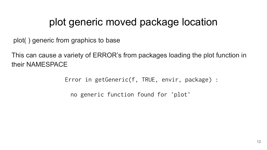### plot generic moved package location

plot( ) generic from graphics to base

This can cause a variety of ERROR's from packages loading the plot function in their NAMESPACE

Error in getGeneric(f, TRUE, envir, package) :

no generic function found for 'plot'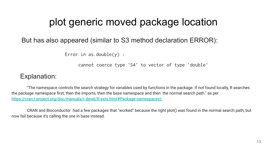### plot generic moved package location

#### But has also appeared (similar to S3 method declaration ERROR):

Error in as.double( $y$ ) :

cannot coerce type 'S4' to vector of type 'double'

Explanation:

 "The namespace controls the search strategy for variables used by functions in the package. If not found locally, R searches the package namespace first, then the imports, then the base namespace and then the normal search path." as per [https://cran.r-project.org/doc/manuals/r-devel/R-exts.html#Package-namespaces\):](https://cran.r-project.org/doc/manuals/r-devel/R-exts.html#Package-namespaces):)

 CRAN and Bioconductor had a few packages that "worked" because the right plot() was found in the normal search path, but now fail because it's calling the one in base instead.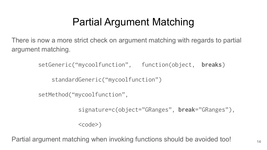# Partial Argument Matching

There is now a more strict check on argument matching with regards to partial argument matching.

setGeneric("mycoolfunction", function(object, **breaks**)

standardGeneric("mycoolfunction")

setMethod("mycoolfunction",

signature=c(object="GRanges", **break**="GRanges"),

 $<$ code>)</code>

Partial argument matching when invoking functions should be avoided too!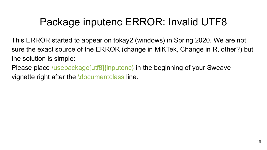# Package inputenc ERROR: Invalid UTF8

This ERROR started to appear on tokay2 (windows) in Spring 2020. We are not sure the exact source of the ERROR (change in MiKTek, Change in R, other?) but the solution is simple:

Please place \usepackage[utf8]{inputenc} in the beginning of your Sweave vignette right after the \document class line.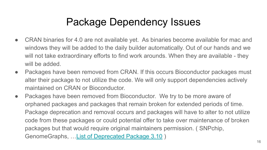# Package Dependency Issues

- CRAN binaries for 4.0 are not available yet. As binaries become available for mac and windows they will be added to the daily builder automatically. Out of our hands and we will not take extraordinary efforts to find work arounds. When they are available - they will be added.
- Packages have been removed from CRAN. If this occurs Bioconductor packages must alter their package to not utilize the code. We will only support dependencies actively maintained on CRAN or Bioconductor.
- Packages have been removed from Bioconductor. We try to be more aware of orphaned packages and packages that remain broken for extended periods of time. Package deprecation and removal occurs and packages will have to alter to not utilize code from these packages or could potential offer to take over maintenance of broken packages but that would require original maintainers permission. ( SNPchip, GenomeGraphs, …[List of Deprecated Package 3.10](https://support.bioconductor.org/p/125352/) )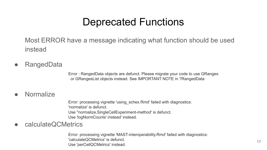### Deprecated Functions

Most ERROR have a message indicating what function should be used instead

● RangedData

Error : RangedData objects are defunct. Please migrate your code to use GRanges or GRangesList objects instead. See IMPORTANT NOTE in ?RangedData

#### ● Normalize

Error: processing vignette 'using\_schex.Rmd' failed with diagnostics: 'normalize' is defunct. Use ''normalize,SingleCellExperiment-method' is defunct. Use 'logNormCounts' instead' instead.

● calculateQCMetrics

Error: processing vignette 'MAST-interoperability.Rmd' failed with diagnostics: 'calculateQCMetrics' is defunct. Use 'perCellQCMetrics' is definite.<br>Use 'perCellQCMetrics' instead.